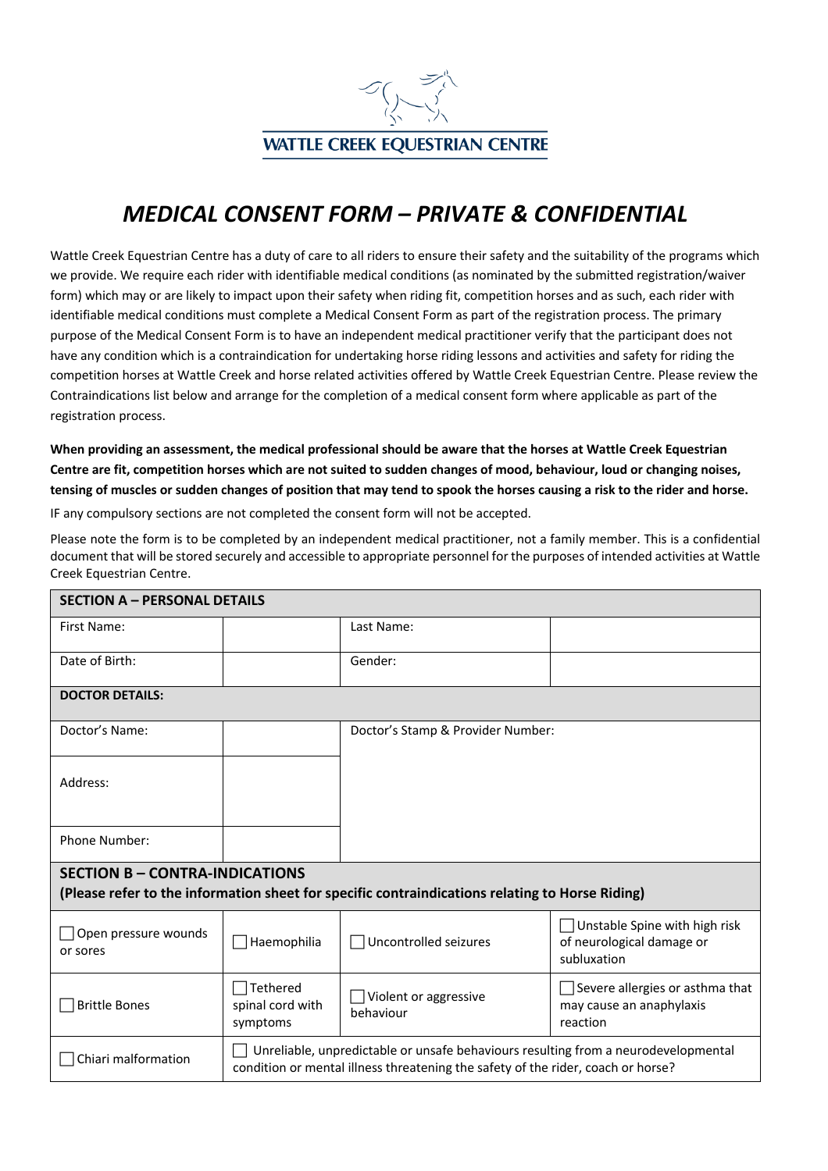

## *MEDICAL CONSENT FORM – PRIVATE & CONFIDENTIAL*

Wattle Creek Equestrian Centre has a duty of care to all riders to ensure their safety and the suitability of the programs which we provide. We require each rider with identifiable medical conditions (as nominated by the submitted registration/waiver form) which may or are likely to impact upon their safety when riding fit, competition horses and as such, each rider with identifiable medical conditions must complete a Medical Consent Form as part of the registration process. The primary purpose of the Medical Consent Form is to have an independent medical practitioner verify that the participant does not have any condition which is a contraindication for undertaking horse riding lessons and activities and safety for riding the competition horses at Wattle Creek and horse related activities offered by Wattle Creek Equestrian Centre. Please review the Contraindications list below and arrange for the completion of a medical consent form where applicable as part of the registration process.

**When providing an assessment, the medical professional should be aware that the horses at Wattle Creek Equestrian Centre are fit, competition horses which are not suited to sudden changes of mood, behaviour, loud or changing noises, tensing of muscles or sudden changes of position that may tend to spook the horses causing a risk to the rider and horse.**

IF any compulsory sections are not completed the consent form will not be accepted.

Please note the form is to be completed by an independent medical practitioner, not a family member. This is a confidential document that will be stored securely and accessible to appropriate personnel for the purposes of intended activities at Wattle Creek Equestrian Centre.

| <b>SECTION A - PERSONAL DETAILS</b>                                                                                                      |                                                                                                                                                                        |                                           |                                                                                  |  |  |
|------------------------------------------------------------------------------------------------------------------------------------------|------------------------------------------------------------------------------------------------------------------------------------------------------------------------|-------------------------------------------|----------------------------------------------------------------------------------|--|--|
| First Name:                                                                                                                              |                                                                                                                                                                        | Last Name:                                |                                                                                  |  |  |
| Date of Birth:                                                                                                                           |                                                                                                                                                                        | Gender:                                   |                                                                                  |  |  |
| <b>DOCTOR DETAILS:</b>                                                                                                                   |                                                                                                                                                                        |                                           |                                                                                  |  |  |
| Doctor's Name:                                                                                                                           |                                                                                                                                                                        | Doctor's Stamp & Provider Number:         |                                                                                  |  |  |
| Address:                                                                                                                                 |                                                                                                                                                                        |                                           |                                                                                  |  |  |
| <b>Phone Number:</b>                                                                                                                     |                                                                                                                                                                        |                                           |                                                                                  |  |  |
| <b>SECTION B - CONTRA-INDICATIONS</b><br>(Please refer to the information sheet for specific contraindications relating to Horse Riding) |                                                                                                                                                                        |                                           |                                                                                  |  |  |
| Open pressure wounds<br>or sores                                                                                                         | Haemophilia                                                                                                                                                            | Uncontrolled seizures                     | Unstable Spine with high risk<br>- 1<br>of neurological damage or<br>subluxation |  |  |
| <b>Brittle Bones</b>                                                                                                                     | Tethered<br>spinal cord with<br>symptoms                                                                                                                               | $\Box$ Violent or aggressive<br>behaviour | Severe allergies or asthma that<br>may cause an anaphylaxis<br>reaction          |  |  |
| Chiari malformation                                                                                                                      | Unreliable, unpredictable or unsafe behaviours resulting from a neurodevelopmental<br>condition or mental illness threatening the safety of the rider, coach or horse? |                                           |                                                                                  |  |  |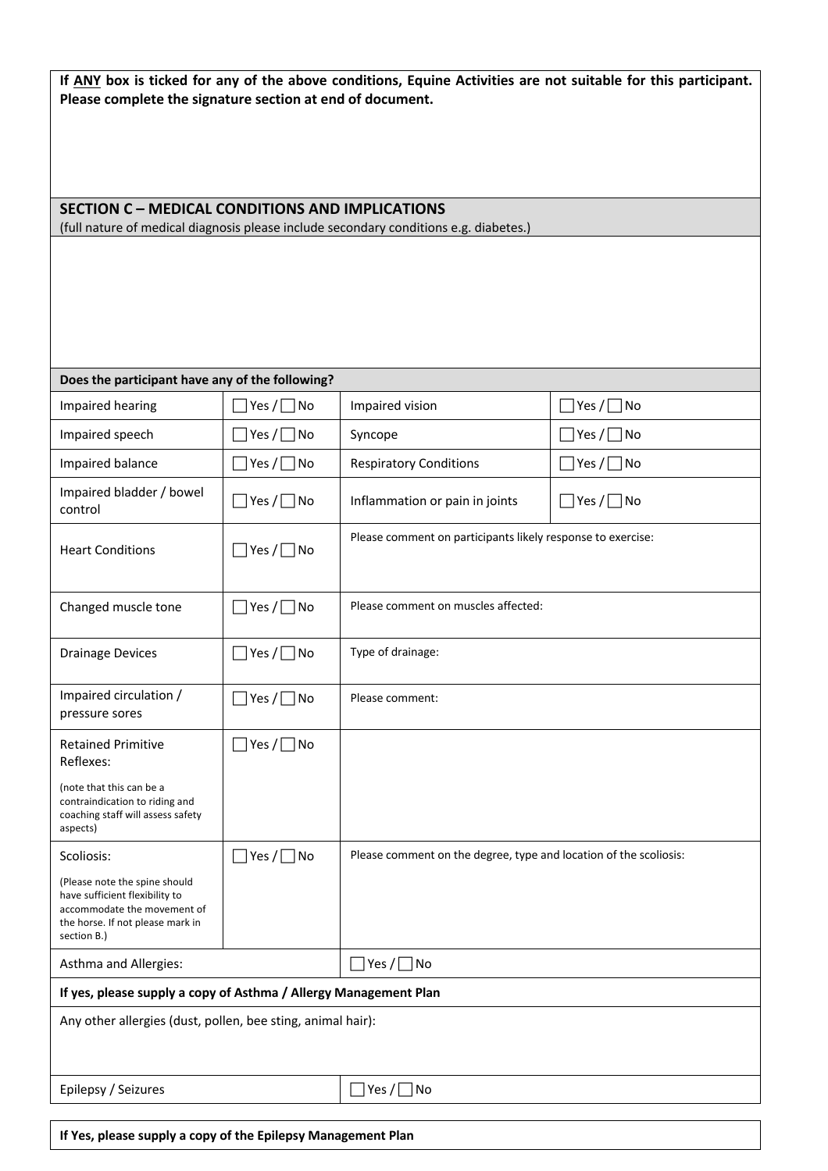**If ANY box is ticked for any of the above conditions, Equine Activities are not suitable for this participant. Please complete the signature section at end of document.**

## **SECTION C – MEDICAL CONDITIONS AND IMPLICATIONS**

(full nature of medical diagnosis please include secondary conditions e.g. diabetes.)

| Does the participant have any of the following?                                                                                                   |                                    |                                                                   |                        |  |  |
|---------------------------------------------------------------------------------------------------------------------------------------------------|------------------------------------|-------------------------------------------------------------------|------------------------|--|--|
| Impaired hearing                                                                                                                                  | $]$ Yes $/$ $\Box$ No              | Impaired vision                                                   | $ Yes / \Box$ No       |  |  |
| Impaired speech                                                                                                                                   | $ Yes / \Box$ No                   | Syncope                                                           | $ $ Yes $/$ $\Box$ No  |  |  |
| Impaired balance                                                                                                                                  | Yes / □ No                         | <b>Respiratory Conditions</b>                                     | $Yes / \Box No$        |  |  |
| Impaired bladder / bowel<br>control                                                                                                               | $\Box$ Yes / $\Box$ No             | Inflammation or pain in joints                                    | $\Box$ Yes / $\Box$ No |  |  |
| <b>Heart Conditions</b>                                                                                                                           | $\cosh \theta \equiv \sinh \theta$ | Please comment on participants likely response to exercise:       |                        |  |  |
| Changed muscle tone                                                                                                                               | $\exists$ Yes / $\Box$ No          | Please comment on muscles affected:                               |                        |  |  |
| <b>Drainage Devices</b>                                                                                                                           | $\exists$ Yes / $\Box$ No          | Type of drainage:                                                 |                        |  |  |
| Impaired circulation /<br>pressure sores                                                                                                          | $]$ Yes / $\Box$ No                | Please comment:                                                   |                        |  |  |
| <b>Retained Primitive</b><br>Reflexes:                                                                                                            | $\exists$ Yes / $\Box$ No          |                                                                   |                        |  |  |
| (note that this can be a<br>contraindication to riding and<br>coaching staff will assess safety<br>aspects)                                       |                                    |                                                                   |                        |  |  |
| Scoliosis:                                                                                                                                        | $\Box$ Yes / $\Box$ No             | Please comment on the degree, type and location of the scoliosis: |                        |  |  |
| (Please note the spine should<br>have sufficient flexibility to<br>accommodate the movement of<br>the horse. If not please mark in<br>section B.) |                                    |                                                                   |                        |  |  |
| Asthma and Allergies:                                                                                                                             |                                    | $\Box$ Yes / $\Box$ No                                            |                        |  |  |
| If yes, please supply a copy of Asthma / Allergy Management Plan                                                                                  |                                    |                                                                   |                        |  |  |
| Any other allergies (dust, pollen, bee sting, animal hair):                                                                                       |                                    |                                                                   |                        |  |  |
| Epilepsy / Seizures                                                                                                                               |                                    | $ Yes / \Box$ No                                                  |                        |  |  |
|                                                                                                                                                   |                                    |                                                                   |                        |  |  |

**If Yes, please supply a copy of the Epilepsy Management Plan**